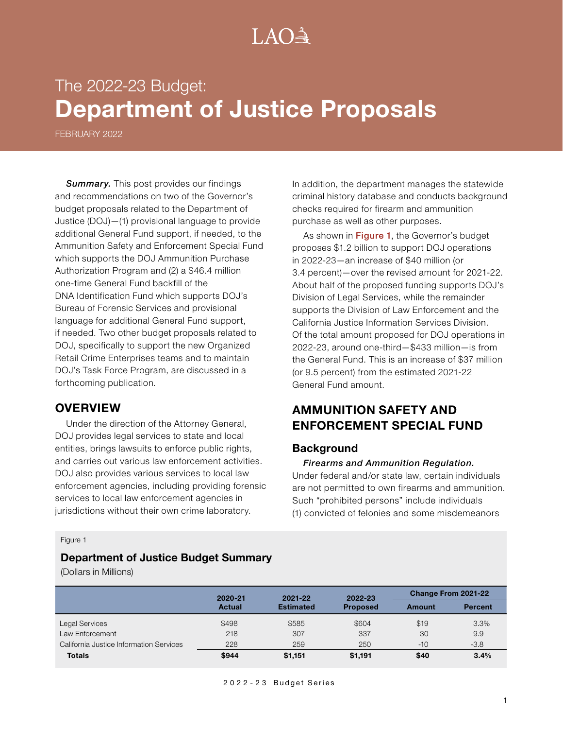# $A() \rightarrow$

# The 2022-23 Budget: **Department of Justice Proposals**

FEBRUARY 2022

*Summary.* This post provides our findings and recommendations on two of the Governor's budget proposals related to the Department of Justice (DOJ)—(1) provisional language to provide additional General Fund support, if needed, to the Ammunition Safety and Enforcement Special Fund which supports the DOJ Ammunition Purchase Authorization Program and (2) a \$46.4 million one-time General Fund backfill of the DNA Identification Fund which supports DOJ's Bureau of Forensic Services and provisional language for additional General Fund support, if needed. Two other budget proposals related to DOJ, specifically to support the new Organized Retail Crime Enterprises teams and to maintain DOJ's Task Force Program, are discussed in a forthcoming publication*.*

#### **OVERVIEW**

Under the direction of the Attorney General, DOJ provides legal services to state and local entities, brings lawsuits to enforce public rights, and carries out various law enforcement activities. DOJ also provides various services to local law enforcement agencies, including providing forensic services to local law enforcement agencies in jurisdictions without their own crime laboratory.

In addition, the department manages the statewide criminal history database and conducts background checks required for firearm and ammunition purchase as well as other purposes.

As shown in Figure 1, the Governor's budget proposes \$1.2 billion to support DOJ operations in 2022-23—an increase of \$40 million (or 3.4 percent)—over the revised amount for 2021-22. About half of the proposed funding supports DOJ's Division of Legal Services, while the remainder supports the Division of Law Enforcement and the California Justice Information Services Division. Of the total amount proposed for DOJ operations in 2022-23, around one-third—\$433 million—is from the General Fund. This is an increase of \$37 million (or 9.5 percent) from the estimated 2021-22 General Fund amount.

## **AMMUNITION SAFETY AND ENFORCEMENT SPECIAL FUND**

#### **Background**

#### *Firearms and Ammunition Regulation.*

Under federal and/or state law, certain individuals are not permitted to own firearms and ammunition. Such "prohibited persons" include individuals (1) convicted of felonies and some misdemeanors

#### Figure 1

#### **Department of Justice Budget Summary**

(Dollars in Millions)

|                                         | 2020-21<br>Actual | 2021-22<br><b>Estimated</b> | 2022-23<br><b>Proposed</b> | <b>Change From 2021-22</b> |                |
|-----------------------------------------|-------------------|-----------------------------|----------------------------|----------------------------|----------------|
|                                         |                   |                             |                            | Amount                     | <b>Percent</b> |
| Legal Services                          | \$498             | \$585                       | \$604                      | \$19                       | 3.3%           |
| Law Enforcement                         | 218               | 307                         | 337                        | 30                         | 9.9            |
| California Justice Information Services | 228               | 259                         | 250                        | $-10$                      | $-3.8$         |
| <b>Totals</b>                           | \$944             | \$1,151                     | \$1,191                    | \$40                       | 3.4%           |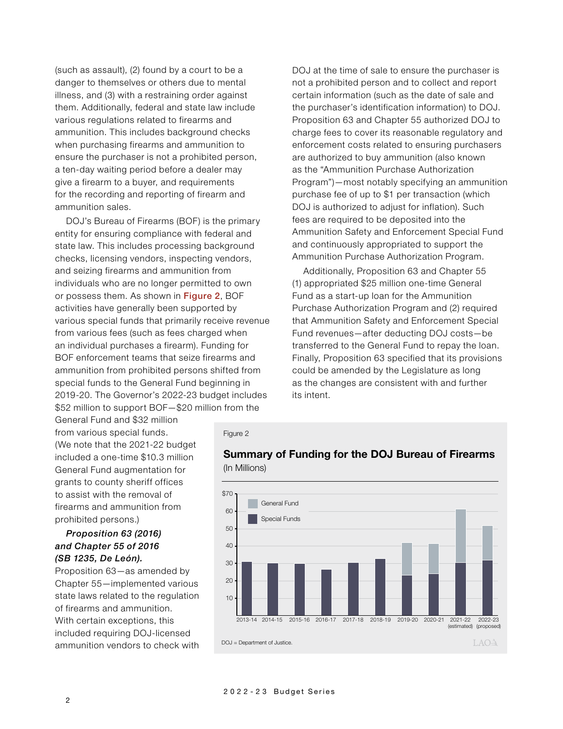(such as assault), (2) found by a court to be a danger to themselves or others due to mental illness, and (3) with a restraining order against them. Additionally, federal and state law include various regulations related to firearms and ammunition. This includes background checks when purchasing firearms and ammunition to ensure the purchaser is not a prohibited person, a ten-day waiting period before a dealer may give a firearm to a buyer, and requirements for the recording and reporting of firearm and ammunition sales.

DOJ's Bureau of Firearms (BOF) is the primary entity for ensuring compliance with federal and state law. This includes processing background checks, licensing vendors, inspecting vendors, and seizing firearms and ammunition from individuals who are no longer permitted to own or possess them. As shown in Figure 2, BOF activities have generally been supported by various special funds that primarily receive revenue from various fees (such as fees charged when an individual purchases a firearm). Funding for BOF enforcement teams that seize firearms and ammunition from prohibited persons shifted from special funds to the General Fund beginning in 2019-20. The Governor's 2022-23 budget includes \$52 million to support BOF—\$20 million from the

DOJ at the time of sale to ensure the purchaser is not a prohibited person and to collect and report certain information (such as the date of sale and the purchaser's identification information) to DOJ. Proposition 63 and Chapter 55 authorized DOJ to charge fees to cover its reasonable regulatory and enforcement costs related to ensuring purchasers are authorized to buy ammunition (also known as the "Ammunition Purchase Authorization Program")—most notably specifying an ammunition purchase fee of up to \$1 per transaction (which DOJ is authorized to adjust for inflation). Such fees are required to be deposited into the Ammunition Safety and Enforcement Special Fund and continuously appropriated to support the Ammunition Purchase Authorization Program.

Additionally, Proposition 63 and Chapter 55 (1) appropriated \$25 million one-time General Fund as a start-up loan for the Ammunition Purchase Authorization Program and (2) required that Ammunition Safety and Enforcement Special Fund revenues—after deducting DOJ costs—be transferred to the General Fund to repay the loan. Finally, Proposition 63 specified that its provisions could be amended by the Legislature as long as the changes are consistent with and further its intent.

General Fund and \$32 million from various special funds. (We note that the 2021-22 budget included a one-time \$10.3 million General Fund augmentation for grants to county sheriff offices to assist with the removal of firearms and ammunition from prohibited persons.)

#### *Proposition 63 (2016) and Chapter 55 of 2016 (SB 1235, De León).*

Proposition 63—as amended by Chapter 55—implemented various state laws related to the regulation of firearms and ammunition. With certain exceptions, this included requiring DOJ-licensed ammunition vendors to check with





#### **Summary of Funding for the DOJ Bureau of Firearms** (In Millions)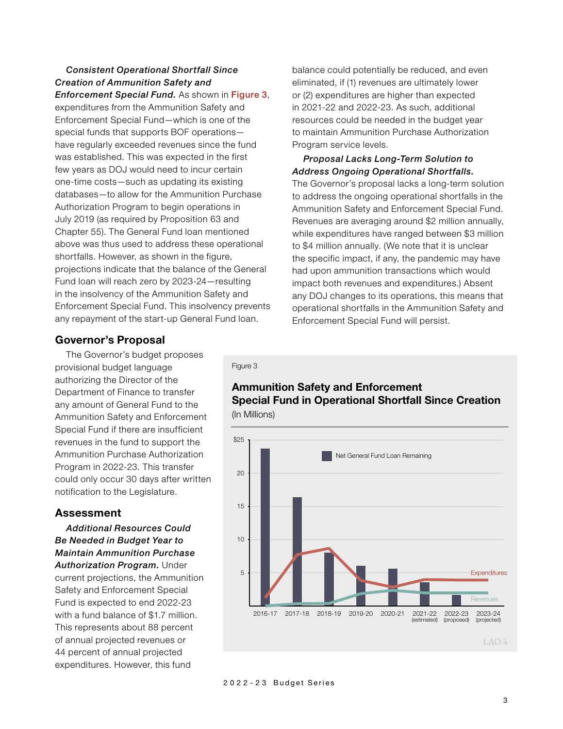## *Consistent Operational Shortfall Since Creation of Ammunition Safety and*

*Enforcement Special Fund.* As shown in Figure 3, expenditures from the Ammunition Safety and Enforcement Special Fund—which is one of the special funds that supports BOF operations have regularly exceeded revenues since the fund was established. This was expected in the first few years as DOJ would need to incur certain one-time costs—such as updating its existing databases—to allow for the Ammunition Purchase Authorization Program to begin operations in July 2019 (as required by Proposition 63 and Chapter 55). The General Fund loan mentioned above was thus used to address these operational shortfalls. However, as shown in the figure, projections indicate that the balance of the General Fund loan will reach zero by 2023-24—resulting in the insolvency of the Ammunition Safety and Enforcement Special Fund. This insolvency prevents any repayment of the start-up General Fund loan.

balance could potentially be reduced, and even eliminated, if (1) revenues are ultimately lower or (2) expenditures are higher than expected in 2021-22 and 2022-23. As such, additional resources could be needed in the budget year to maintain Ammunition Purchase Authorization Program service levels.

#### *Proposal Lacks Long-Term Solution to Address Ongoing Operational Shortfalls.*

The Governor's proposal lacks a long-term solution to address the ongoing operational shortfalls in the Ammunition Safety and Enforcement Special Fund. Revenues are averaging around \$2 million annually, while expenditures have ranged between \$3 million to \$4 million annually. (We note that it is unclear the specific impact, if any, the pandemic may have had upon ammunition transactions which would impact both revenues and expenditures.) Absent any DOJ changes to its operations, this means that operational shortfalls in the Ammunition Safety and Enforcement Special Fund will persist.

## **Governor's Proposal**

The Governor's budget proposes provisional budget language authorizing the Director of the Department of Finance to transfer any amount of General Fund to the Ammunition Safety and Enforcement Special Fund if there are insufficient revenues in the fund to support the Ammunition Purchase Authorization Program in 2022-23. This transfer could only occur 30 days after written notification to the Legislature.

### **Assessment**

*Additional Resources Could Be Needed in Budget Year to Maintain Ammunition Purchase Authorization Program.* Under current projections, the Ammunition Safety and Enforcement Special Fund is expected to end 2022-23 with a fund balance of \$1.7 million. This represents about 88 percent of annual projected revenues or 44 percent of annual projected expenditures. However, this fund

Figure 3

### **Ammunition Safety and Enforcement Special Fund in Operational Shortfall Since Creation** (In Millions)



2022-23 Budget Series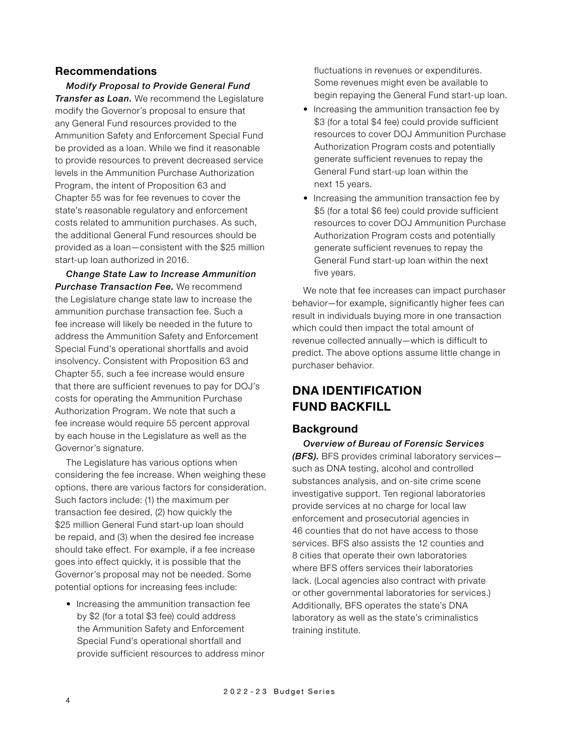#### **Recommendations**

*Modify Proposal to Provide General Fund Transfer as Loan.* We recommend the Legislature modify the Governor's proposal to ensure that any General Fund resources provided to the Ammunition Safety and Enforcement Special Fund be provided as a loan. While we find it reasonable to provide resources to prevent decreased service levels in the Ammunition Purchase Authorization Program, the intent of Proposition 63 and Chapter 55 was for fee revenues to cover the state's reasonable regulatory and enforcement costs related to ammunition purchases. As such, the additional General Fund resources should be provided as a loan—consistent with the \$25 million start-up loan authorized in 2016.

*Change State Law to Increase Ammunition Purchase Transaction Fee.* We recommend the Legislature change state law to increase the ammunition purchase transaction fee. Such a fee increase will likely be needed in the future to address the Ammunition Safety and Enforcement Special Fund's operational shortfalls and avoid insolvency. Consistent with Proposition 63 and Chapter 55, such a fee increase would ensure that there are sufficient revenues to pay for DOJ's costs for operating the Ammunition Purchase Authorization Program. We note that such a fee increase would require 55 percent approval by each house in the Legislature as well as the Governor's signature.

The Legislature has various options when considering the fee increase. When weighing these options, there are various factors for consideration. Such factors include: (1) the maximum per transaction fee desired, (2) how quickly the \$25 million General Fund start-up loan should be repaid, and (3) when the desired fee increase should take effect. For example, if a fee increase goes into effect quickly, it is possible that the Governor's proposal may not be needed. Some potential options for increasing fees include:

• Increasing the ammunition transaction fee by \$2 (for a total \$3 fee) could address the Ammunition Safety and Enforcement Special Fund's operational shortfall and provide sufficient resources to address minor fluctuations in revenues or expenditures. Some revenues might even be available to begin repaying the General Fund start-up loan.

- Increasing the ammunition transaction fee by \$3 (for a total \$4 fee) could provide sufficient resources to cover DOJ Ammunition Purchase Authorization Program costs and potentially generate sufficient revenues to repay the General Fund start-up loan within the next 15 years.
- Increasing the ammunition transaction fee by \$5 (for a total \$6 fee) could provide sufficient resources to cover DOJ Ammunition Purchase Authorization Program costs and potentially generate sufficient revenues to repay the General Fund start-up loan within the next five years.

We note that fee increases can impact purchaser behavior—for example, significantly higher fees can result in individuals buying more in one transaction which could then impact the total amount of revenue collected annually—which is difficult to predict. The above options assume little change in purchaser behavior.

## **DNA IDENTIFICATION FUND BACKFILL**

#### **Background**

*Overview of Bureau of Forensic Services (BFS).* BFS provides criminal laboratory services such as DNA testing, alcohol and controlled substances analysis, and on-site crime scene investigative support. Ten regional laboratories provide services at no charge for local law enforcement and prosecutorial agencies in 46 counties that do not have access to those services. BFS also assists the 12 counties and 8 cities that operate their own laboratories where BFS offers services their laboratories lack. (Local agencies also contract with private or other governmental laboratories for services.) Additionally, BFS operates the state's DNA laboratory as well as the state's criminalistics training institute.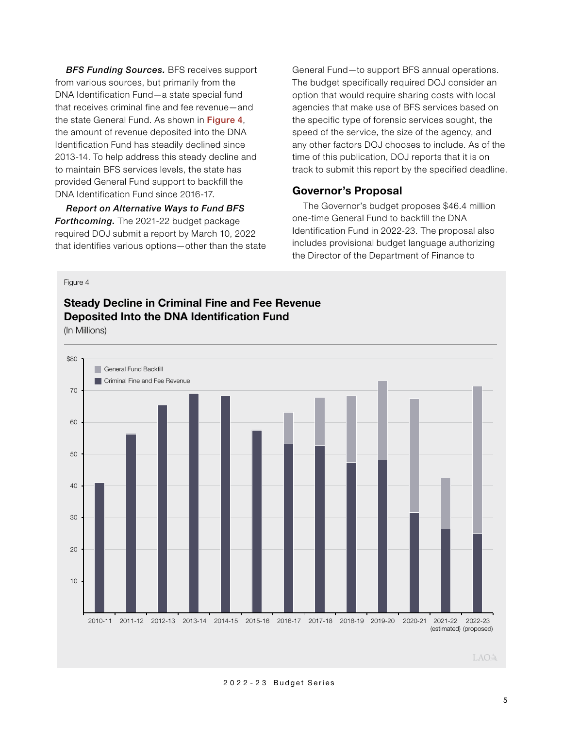*BFS Funding Sources.* BFS receives support from various sources, but primarily from the DNA Identification Fund—a state special fund that receives criminal fine and fee revenue—and the state General Fund. As shown in Figure 4, the amount of revenue deposited into the DNA Identification Fund has steadily declined since 2013-14. To help address this steady decline and to maintain BFS services levels, the state has provided General Fund support to backfill the DNA Identification Fund since 2016-17.

*Report on Alternative Ways to Fund BFS Forthcoming.* The 2021-22 budget package required DOJ submit a report by March 10, 2022 that identifies various options—other than the state

General Fund—to support BFS annual operations. The budget specifically required DOJ consider an option that would require sharing costs with local agencies that make use of BFS services based on the specific type of forensic services sought, the speed of the service, the size of the agency, and any other factors DOJ chooses to include. As of the time of this publication, DOJ reports that it is on track to submit this report by the specified deadline.

#### **Governor's Proposal**

The Governor's budget proposes \$46.4 million one-time General Fund to backfill the DNA Identification Fund in 2022-23. The proposal also includes provisional budget language authorizing the Director of the Department of Finance to

#### Figure 4

# **Steady Decline in Criminal Fine and Fee Revenue Deposited Into the DNA Identification Fund**

(In Millions)



#### LAOA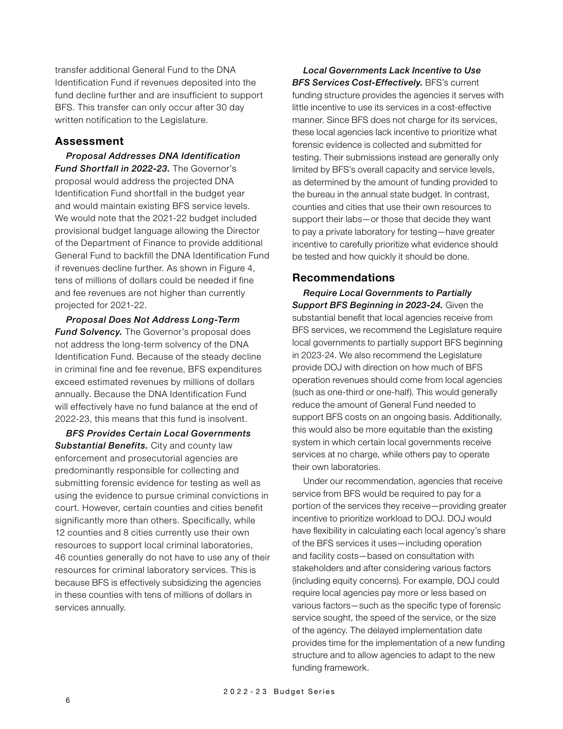transfer additional General Fund to the DNA Identification Fund if revenues deposited into the fund decline further and are insufficient to support BFS. This transfer can only occur after 30 day written notification to the Legislature.

#### **Assessment**

*Proposal Addresses DNA Identification Fund Shortfall in 2022-23.* The Governor's proposal would address the projected DNA Identification Fund shortfall in the budget year and would maintain existing BFS service levels. We would note that the 2021-22 budget included provisional budget language allowing the Director of the Department of Finance to provide additional General Fund to backfill the DNA Identification Fund if revenues decline further. As shown in Figure 4, tens of millions of dollars could be needed if fine and fee revenues are not higher than currently projected for 2021-22.

*Proposal Does Not Address Long-Term Fund Solvency.* The Governor's proposal does not address the long-term solvency of the DNA Identification Fund. Because of the steady decline in criminal fine and fee revenue, BFS expenditures exceed estimated revenues by millions of dollars annually. Because the DNA Identification Fund will effectively have no fund balance at the end of 2022-23, this means that this fund is insolvent.

*BFS Provides Certain Local Governments Substantial Benefits.* City and county law enforcement and prosecutorial agencies are predominantly responsible for collecting and submitting forensic evidence for testing as well as using the evidence to pursue criminal convictions in court. However, certain counties and cities benefit significantly more than others. Specifically, while 12 counties and 8 cities currently use their own resources to support local criminal laboratories, 46 counties generally do not have to use any of their resources for criminal laboratory services. This is because BFS is effectively subsidizing the agencies in these counties with tens of millions of dollars in services annually.

*Local Governments Lack Incentive to Use BFS Services Cost-Effectively.* BFS's current funding structure provides the agencies it serves with little incentive to use its services in a cost-effective manner. Since BFS does not charge for its services, these local agencies lack incentive to prioritize what forensic evidence is collected and submitted for testing. Their submissions instead are generally only limited by BFS's overall capacity and service levels, as determined by the amount of funding provided to the bureau in the annual state budget. In contrast, counties and cities that use their own resources to support their labs—or those that decide they want to pay a private laboratory for testing—have greater incentive to carefully prioritize what evidence should be tested and how quickly it should be done.

#### **Recommendations**

*Require Local Governments to Partially Support BFS Beginning in 2023-24.* Given the substantial benefit that local agencies receive from BFS services, we recommend the Legislature require local governments to partially support BFS beginning in 2023-24. We also recommend the Legislature provide DOJ with direction on how much of BFS operation revenues should come from local agencies (such as one-third or one-half). This would generally reduce the amount of General Fund needed to support BFS costs on an ongoing basis. Additionally, this would also be more equitable than the existing system in which certain local governments receive services at no charge, while others pay to operate their own laboratories.

Under our recommendation, agencies that receive service from BFS would be required to pay for a portion of the services they receive—providing greater incentive to prioritize workload to DOJ. DOJ would have flexibility in calculating each local agency's share of the BFS services it uses—including operation and facility costs—based on consultation with stakeholders and after considering various factors (including equity concerns). For example, DOJ could require local agencies pay more or less based on various factors—such as the specific type of forensic service sought, the speed of the service, or the size of the agency. The delayed implementation date provides time for the implementation of a new funding structure and to allow agencies to adapt to the new funding framework.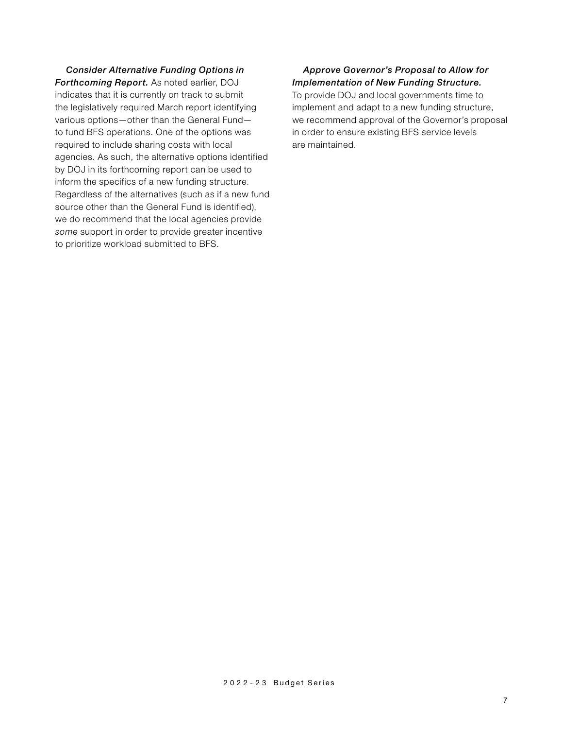*Consider Alternative Funding Options in Forthcoming Report.* As noted earlier, DOJ indicates that it is currently on track to submit the legislatively required March report identifying various options—other than the General Fund to fund BFS operations. One of the options was required to include sharing costs with local agencies. As such, the alternative options identified by DOJ in its forthcoming report can be used to inform the specifics of a new funding structure. Regardless of the alternatives (such as if a new fund source other than the General Fund is identified), we do recommend that the local agencies provide *some* support in order to provide greater incentive to prioritize workload submitted to BFS.

#### *Approve Governor's Proposal to Allow for Implementation of New Funding Structure.*

To provide DOJ and local governments time to implement and adapt to a new funding structure, we recommend approval of the Governor's proposal in order to ensure existing BFS service levels are maintained.